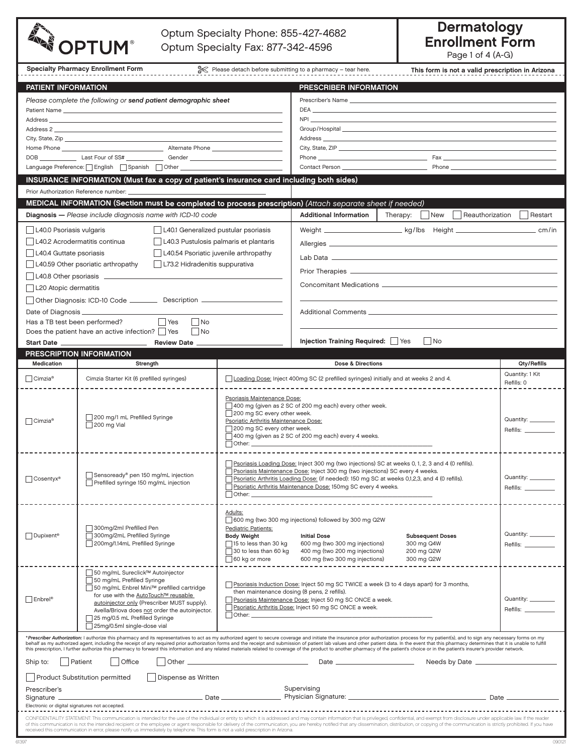| Please detach before submitting to a pharmacy - tear here.<br><b>Specialty Pharmacy Enrollment Form</b><br>This form is not a valid prescription in Arizona<br><b>PATIENT INFORMATION</b><br>PRESCRIBER INFORMATION<br>Please complete the following or send patient demographic sheet<br>Prescriber's Name entrance and the state of the state of the state of the state of the state of the state of the state of the state of the state of the state of the state of the state of the state of the state of the state<br>DEA<br>NPI <b>Note</b> that the contract of the contract of the contract of the contract of the contract of the contract of the contract of the contract of the contract of the contract of the contract of the contract of the contract o<br>Group/Hospital ________________<br>Address and the contract of the contract of the contract of the contract of the contract of the contract of the contract of the contract of the contract of the contract of the contract of the contract of the contract of th<br>Phone <u>Communications</u> Phone Communications and Communications of Pax Communications of Pax Communications and Communications of Pax Communications and Communications of Pax Communications and Communications and Communicat<br>INSURANCE INFORMATION (Must fax a copy of patient's insurance card including both sides)<br>Prior Authorization Reference number: ________________<br>MEDICAL INFORMATION (Section must be completed to process prescription) (Attach separate sheet if needed)<br><b>Additional Information</b><br>Diagnosis - Please include diagnosis name with ICD-10 code<br>Therapy:<br>  New<br>Reauthorization<br>Restart<br>L40.0 Psoriasis vulgaris<br>L40.1 Generalized pustular psoriasis<br>Weight __________________________kg/lbs Height _________________________________ cm/in<br>L40.2 Acrodermatitis continua<br>L40.3 Pustulosis palmaris et plantaris |
|--------------------------------------------------------------------------------------------------------------------------------------------------------------------------------------------------------------------------------------------------------------------------------------------------------------------------------------------------------------------------------------------------------------------------------------------------------------------------------------------------------------------------------------------------------------------------------------------------------------------------------------------------------------------------------------------------------------------------------------------------------------------------------------------------------------------------------------------------------------------------------------------------------------------------------------------------------------------------------------------------------------------------------------------------------------------------------------------------------------------------------------------------------------------------------------------------------------------------------------------------------------------------------------------------------------------------------------------------------------------------------------------------------------------------------------------------------------------------------------------------------------------------------------------------------------------------------------------------------------------------------------------------------------------------------------------------------------------------------------------------------------------------------------------------------------------------------------------------------------------------------------------------------------------------------------------------|
|                                                                                                                                                                                                                                                                                                                                                                                                                                                                                                                                                                                                                                                                                                                                                                                                                                                                                                                                                                                                                                                                                                                                                                                                                                                                                                                                                                                                                                                                                                                                                                                                                                                                                                                                                                                                                                                                                                                                                  |
|                                                                                                                                                                                                                                                                                                                                                                                                                                                                                                                                                                                                                                                                                                                                                                                                                                                                                                                                                                                                                                                                                                                                                                                                                                                                                                                                                                                                                                                                                                                                                                                                                                                                                                                                                                                                                                                                                                                                                  |
|                                                                                                                                                                                                                                                                                                                                                                                                                                                                                                                                                                                                                                                                                                                                                                                                                                                                                                                                                                                                                                                                                                                                                                                                                                                                                                                                                                                                                                                                                                                                                                                                                                                                                                                                                                                                                                                                                                                                                  |
|                                                                                                                                                                                                                                                                                                                                                                                                                                                                                                                                                                                                                                                                                                                                                                                                                                                                                                                                                                                                                                                                                                                                                                                                                                                                                                                                                                                                                                                                                                                                                                                                                                                                                                                                                                                                                                                                                                                                                  |
|                                                                                                                                                                                                                                                                                                                                                                                                                                                                                                                                                                                                                                                                                                                                                                                                                                                                                                                                                                                                                                                                                                                                                                                                                                                                                                                                                                                                                                                                                                                                                                                                                                                                                                                                                                                                                                                                                                                                                  |
|                                                                                                                                                                                                                                                                                                                                                                                                                                                                                                                                                                                                                                                                                                                                                                                                                                                                                                                                                                                                                                                                                                                                                                                                                                                                                                                                                                                                                                                                                                                                                                                                                                                                                                                                                                                                                                                                                                                                                  |
|                                                                                                                                                                                                                                                                                                                                                                                                                                                                                                                                                                                                                                                                                                                                                                                                                                                                                                                                                                                                                                                                                                                                                                                                                                                                                                                                                                                                                                                                                                                                                                                                                                                                                                                                                                                                                                                                                                                                                  |
|                                                                                                                                                                                                                                                                                                                                                                                                                                                                                                                                                                                                                                                                                                                                                                                                                                                                                                                                                                                                                                                                                                                                                                                                                                                                                                                                                                                                                                                                                                                                                                                                                                                                                                                                                                                                                                                                                                                                                  |
|                                                                                                                                                                                                                                                                                                                                                                                                                                                                                                                                                                                                                                                                                                                                                                                                                                                                                                                                                                                                                                                                                                                                                                                                                                                                                                                                                                                                                                                                                                                                                                                                                                                                                                                                                                                                                                                                                                                                                  |
|                                                                                                                                                                                                                                                                                                                                                                                                                                                                                                                                                                                                                                                                                                                                                                                                                                                                                                                                                                                                                                                                                                                                                                                                                                                                                                                                                                                                                                                                                                                                                                                                                                                                                                                                                                                                                                                                                                                                                  |
|                                                                                                                                                                                                                                                                                                                                                                                                                                                                                                                                                                                                                                                                                                                                                                                                                                                                                                                                                                                                                                                                                                                                                                                                                                                                                                                                                                                                                                                                                                                                                                                                                                                                                                                                                                                                                                                                                                                                                  |
|                                                                                                                                                                                                                                                                                                                                                                                                                                                                                                                                                                                                                                                                                                                                                                                                                                                                                                                                                                                                                                                                                                                                                                                                                                                                                                                                                                                                                                                                                                                                                                                                                                                                                                                                                                                                                                                                                                                                                  |
|                                                                                                                                                                                                                                                                                                                                                                                                                                                                                                                                                                                                                                                                                                                                                                                                                                                                                                                                                                                                                                                                                                                                                                                                                                                                                                                                                                                                                                                                                                                                                                                                                                                                                                                                                                                                                                                                                                                                                  |
|                                                                                                                                                                                                                                                                                                                                                                                                                                                                                                                                                                                                                                                                                                                                                                                                                                                                                                                                                                                                                                                                                                                                                                                                                                                                                                                                                                                                                                                                                                                                                                                                                                                                                                                                                                                                                                                                                                                                                  |
| L40.4 Guttate psoriasis<br>L40.54 Psoriatic juvenile arthropathy<br>Lab Data <b>de la constitución de la constitución de la constitución de la constitución de la constitución de la</b>                                                                                                                                                                                                                                                                                                                                                                                                                                                                                                                                                                                                                                                                                                                                                                                                                                                                                                                                                                                                                                                                                                                                                                                                                                                                                                                                                                                                                                                                                                                                                                                                                                                                                                                                                         |
| L73.2 Hidradenitis suppurativa<br>L40.59 Other psoriatic arthropathy                                                                                                                                                                                                                                                                                                                                                                                                                                                                                                                                                                                                                                                                                                                                                                                                                                                                                                                                                                                                                                                                                                                                                                                                                                                                                                                                                                                                                                                                                                                                                                                                                                                                                                                                                                                                                                                                             |
| L40.8 Other psoriasis ___________                                                                                                                                                                                                                                                                                                                                                                                                                                                                                                                                                                                                                                                                                                                                                                                                                                                                                                                                                                                                                                                                                                                                                                                                                                                                                                                                                                                                                                                                                                                                                                                                                                                                                                                                                                                                                                                                                                                |
| L20 Atopic dermatitis                                                                                                                                                                                                                                                                                                                                                                                                                                                                                                                                                                                                                                                                                                                                                                                                                                                                                                                                                                                                                                                                                                                                                                                                                                                                                                                                                                                                                                                                                                                                                                                                                                                                                                                                                                                                                                                                                                                            |
| Other Diagnosis: ICD-10 Code ___________ Description ___________________________                                                                                                                                                                                                                                                                                                                                                                                                                                                                                                                                                                                                                                                                                                                                                                                                                                                                                                                                                                                                                                                                                                                                                                                                                                                                                                                                                                                                                                                                                                                                                                                                                                                                                                                                                                                                                                                                 |
| Date of Diagnosis __<br>Additional Comments ___________________                                                                                                                                                                                                                                                                                                                                                                                                                                                                                                                                                                                                                                                                                                                                                                                                                                                                                                                                                                                                                                                                                                                                                                                                                                                                                                                                                                                                                                                                                                                                                                                                                                                                                                                                                                                                                                                                                  |
| $\Box$ Yes $\Box$ No<br>Has a TB test been performed?<br>Does the patient have an active infection?   Yes   No                                                                                                                                                                                                                                                                                                                                                                                                                                                                                                                                                                                                                                                                                                                                                                                                                                                                                                                                                                                                                                                                                                                                                                                                                                                                                                                                                                                                                                                                                                                                                                                                                                                                                                                                                                                                                                   |
| Injection Training Required: Yes<br>$\vert$ No                                                                                                                                                                                                                                                                                                                                                                                                                                                                                                                                                                                                                                                                                                                                                                                                                                                                                                                                                                                                                                                                                                                                                                                                                                                                                                                                                                                                                                                                                                                                                                                                                                                                                                                                                                                                                                                                                                   |
| PRESCRIPTION INFORMATION                                                                                                                                                                                                                                                                                                                                                                                                                                                                                                                                                                                                                                                                                                                                                                                                                                                                                                                                                                                                                                                                                                                                                                                                                                                                                                                                                                                                                                                                                                                                                                                                                                                                                                                                                                                                                                                                                                                         |
| Medication<br>Dose & Directions<br>Qty/Refills<br>Strength                                                                                                                                                                                                                                                                                                                                                                                                                                                                                                                                                                                                                                                                                                                                                                                                                                                                                                                                                                                                                                                                                                                                                                                                                                                                                                                                                                                                                                                                                                                                                                                                                                                                                                                                                                                                                                                                                       |
| Quantity: 1 Kit<br>$\Box$ Cimzia®<br>Cimzia Starter Kit (6 prefilled syringes)<br>Loading Dose: Inject 400mg SC (2 prefilled syringes) initially and at weeks 2 and 4.<br>Refills: 0                                                                                                                                                                                                                                                                                                                                                                                                                                                                                                                                                                                                                                                                                                                                                                                                                                                                                                                                                                                                                                                                                                                                                                                                                                                                                                                                                                                                                                                                                                                                                                                                                                                                                                                                                             |
| Psoriasis Maintenance Dose:<br>400 mg (given as 2 SC of 200 mg each) every other week.<br>200 mg SC every other week.<br>200 mg/1 mL Prefilled Syringe<br>Quantity:<br>$\Box$ Cimzia®<br>Psoriatic Arthritis Maintenance Dose:<br>200 mg Vial<br>200 mg SC every other week.<br>Refills: _____<br>400 mg (given as 2 SC of 200 mg each) every 4 weeks.<br>$\vert$ Other: $\_\_$                                                                                                                                                                                                                                                                                                                                                                                                                                                                                                                                                                                                                                                                                                                                                                                                                                                                                                                                                                                                                                                                                                                                                                                                                                                                                                                                                                                                                                                                                                                                                                  |
| Psoriasis Loading Dose: Inject 300 mg (two injections) SC at weeks 0, 1, 2, 3 and 4 (0 refills).<br>Psoriasis Maintenance Dose: Inject 300 mg (two injections) SC every 4 weeks.<br>Sensoready® pen 150 mg/mL injection<br>Quantity:<br>Psoriatic Arthritis Loading Dose: (if needed): 150 mg SC at weeks 0,1,2,3, and 4 (0 refills).<br>$\Box$ Cosentyx <sup>®</sup><br>Prefilled syringe 150 mg/mL injection<br>Psoriatic Arthritis Maintenance Dose: 150mg SC every 4 weeks.<br>Refills:<br>  Other: ________________                                                                                                                                                                                                                                                                                                                                                                                                                                                                                                                                                                                                                                                                                                                                                                                                                                                                                                                                                                                                                                                                                                                                                                                                                                                                                                                                                                                                                         |
| Adults:<br>600 mg (two 300 mg injections) followed by 300 mg Q2W<br>300mg/2ml Prefilled Pen<br>Pediatric Patients:<br>Quantity: ________<br>$\Box$ Dupixent®<br>300mg/2mL Prefilled Syringe<br><b>Body Weight</b><br><b>Initial Dose</b><br><b>Subsequent Doses</b><br>200mg/1.14mL Prefilled Syringe<br>$\Box$ 15 to less than 30 kg<br>600 mg (two 300 mg injections)<br>300 mg Q4W<br>Refills: ______<br>$\Box$ 30 to less than 60 kg<br>400 mg (two 200 mg injections)<br>200 mg Q2W<br>600 mg (two 300 mg injections)<br>60 kg or more<br>300 mg Q2W                                                                                                                                                                                                                                                                                                                                                                                                                                                                                                                                                                                                                                                                                                                                                                                                                                                                                                                                                                                                                                                                                                                                                                                                                                                                                                                                                                                        |
| □ 50 mg/mL Sureclick™ Autoinjector<br>50 mg/mL Prefilled Syringe<br><b>Psoriasis Induction Dose: Inject 50 mg SC TWICE a week (3 to 4 days apart) for 3 months,</b><br>□ 50 mg/mL Enbrel Mini™ prefilled cartridge<br>then maintenance dosing (8 pens, 2 refills).<br>for use with the AutoTouch™ reusable<br><b>Enbrel®</b><br>Psoriasis Maintenance Dose: Inject 50 mg SC ONCE a week.<br>Quantity: _<br>autoinjector only (Prescriber MUST supply).<br>Psoriatic Arthritis Dose: Inject 50 mg SC ONCE a week.<br>Refills: __<br>Avella/Briova does not order the autoinjector.<br>25 mg/0.5 mL Prefilled Syringe<br>25mg/0.5ml single-dose vial                                                                                                                                                                                                                                                                                                                                                                                                                                                                                                                                                                                                                                                                                                                                                                                                                                                                                                                                                                                                                                                                                                                                                                                                                                                                                               |
| *Prescriber Authorization: I authorize this pharmacy and its representatives to act as my authorized agent to secure coverage and initiate the insurance prior authorization process for my patient(s), and to sign any necess<br>behalf as my authorized agent, including the receipt of any required prior authorization forms and the receipt and submission of patient lab values and other patient data. In the event that this pharmacy determines that it                                                                                                                                                                                                                                                                                                                                                                                                                                                                                                                                                                                                                                                                                                                                                                                                                                                                                                                                                                                                                                                                                                                                                                                                                                                                                                                                                                                                                                                                                 |
| this prescription, I further authorize this pharmacy to forward this information and any related materials related to coverage of the product to another pharmacy of the patient's choice or in the patient's insurer's provid                                                                                                                                                                                                                                                                                                                                                                                                                                                                                                                                                                                                                                                                                                                                                                                                                                                                                                                                                                                                                                                                                                                                                                                                                                                                                                                                                                                                                                                                                                                                                                                                                                                                                                                   |
| Office<br>Ship to:<br>Patient                                                                                                                                                                                                                                                                                                                                                                                                                                                                                                                                                                                                                                                                                                                                                                                                                                                                                                                                                                                                                                                                                                                                                                                                                                                                                                                                                                                                                                                                                                                                                                                                                                                                                                                                                                                                                                                                                                                    |
| Dispense as Written<br><b>Product Substitution permitted</b>                                                                                                                                                                                                                                                                                                                                                                                                                                                                                                                                                                                                                                                                                                                                                                                                                                                                                                                                                                                                                                                                                                                                                                                                                                                                                                                                                                                                                                                                                                                                                                                                                                                                                                                                                                                                                                                                                     |
|                                                                                                                                                                                                                                                                                                                                                                                                                                                                                                                                                                                                                                                                                                                                                                                                                                                                                                                                                                                                                                                                                                                                                                                                                                                                                                                                                                                                                                                                                                                                                                                                                                                                                                                                                                                                                                                                                                                                                  |
| Supervising<br>Prescriber's                                                                                                                                                                                                                                                                                                                                                                                                                                                                                                                                                                                                                                                                                                                                                                                                                                                                                                                                                                                                                                                                                                                                                                                                                                                                                                                                                                                                                                                                                                                                                                                                                                                                                                                                                                                                                                                                                                                      |
| <u>Date</u> and the contract of the contract of the Date of the Contract of the Contract of the Contract of the Contract of the Contract of the Contract of the Contract of the Contract of the Contract of the Contract of the Con<br>Signature __<br>Electronic or digital signatures not accepted.                                                                                                                                                                                                                                                                                                                                                                                                                                                                                                                                                                                                                                                                                                                                                                                                                                                                                                                                                                                                                                                                                                                                                                                                                                                                                                                                                                                                                                                                                                                                                                                                                                            |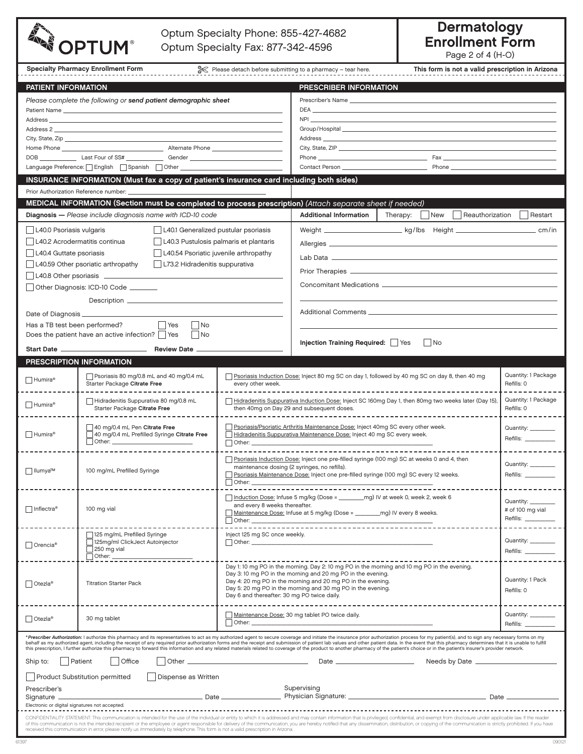| Optum Specialty Phone: 855-427-4682<br><b>OPTUM®</b><br>Optum Specialty Fax: 877-342-4596     |                                                                                                                                                                                                                                                                                                                                                                                                                                                                                                                                                                                                                                                                                                    |                                                                                                                                                                                                                                |                                                                                                                                                                                                                                                                                                                                        | <b>Dermatology</b><br><b>Enrollment Form</b><br>Page 2 of 4 (H-O)                                                                                                                                                                    |                                        |  |  |
|-----------------------------------------------------------------------------------------------|----------------------------------------------------------------------------------------------------------------------------------------------------------------------------------------------------------------------------------------------------------------------------------------------------------------------------------------------------------------------------------------------------------------------------------------------------------------------------------------------------------------------------------------------------------------------------------------------------------------------------------------------------------------------------------------------------|--------------------------------------------------------------------------------------------------------------------------------------------------------------------------------------------------------------------------------|----------------------------------------------------------------------------------------------------------------------------------------------------------------------------------------------------------------------------------------------------------------------------------------------------------------------------------------|--------------------------------------------------------------------------------------------------------------------------------------------------------------------------------------------------------------------------------------|----------------------------------------|--|--|
|                                                                                               | <b>Specialty Pharmacy Enrollment Form</b>                                                                                                                                                                                                                                                                                                                                                                                                                                                                                                                                                                                                                                                          |                                                                                                                                                                                                                                | Please detach before submitting to a pharmacy - tear here.                                                                                                                                                                                                                                                                             | This form is not a valid prescription in Arizona                                                                                                                                                                                     |                                        |  |  |
| PATIENT INFORMATION                                                                           |                                                                                                                                                                                                                                                                                                                                                                                                                                                                                                                                                                                                                                                                                                    |                                                                                                                                                                                                                                | PRESCRIBER INFORMATION                                                                                                                                                                                                                                                                                                                 |                                                                                                                                                                                                                                      |                                        |  |  |
|                                                                                               | Please complete the following or send patient demographic sheet                                                                                                                                                                                                                                                                                                                                                                                                                                                                                                                                                                                                                                    |                                                                                                                                                                                                                                |                                                                                                                                                                                                                                                                                                                                        |                                                                                                                                                                                                                                      |                                        |  |  |
|                                                                                               |                                                                                                                                                                                                                                                                                                                                                                                                                                                                                                                                                                                                                                                                                                    |                                                                                                                                                                                                                                |                                                                                                                                                                                                                                                                                                                                        |                                                                                                                                                                                                                                      |                                        |  |  |
|                                                                                               | Address and the contract of the contract of the contract of the contract of the contract of the contract of the                                                                                                                                                                                                                                                                                                                                                                                                                                                                                                                                                                                    |                                                                                                                                                                                                                                |                                                                                                                                                                                                                                                                                                                                        | NPI <b>Example 2008</b> The contract of the contract of the contract of the contract of the contract of the contract of the contract of the contract of the contract of the contract of the contract of the contract of the contrac  |                                        |  |  |
|                                                                                               |                                                                                                                                                                                                                                                                                                                                                                                                                                                                                                                                                                                                                                                                                                    |                                                                                                                                                                                                                                |                                                                                                                                                                                                                                                                                                                                        |                                                                                                                                                                                                                                      |                                        |  |  |
|                                                                                               |                                                                                                                                                                                                                                                                                                                                                                                                                                                                                                                                                                                                                                                                                                    |                                                                                                                                                                                                                                |                                                                                                                                                                                                                                                                                                                                        |                                                                                                                                                                                                                                      |                                        |  |  |
|                                                                                               |                                                                                                                                                                                                                                                                                                                                                                                                                                                                                                                                                                                                                                                                                                    |                                                                                                                                                                                                                                |                                                                                                                                                                                                                                                                                                                                        | <b>Contact Person Contact Person Contact Person Contact Person Contact Person Contact Person Contact Person Contact Person Contact Person Contact Person Contact Person Contact Person Contact Person Contact Person Contact Per</b> |                                        |  |  |
|                                                                                               | INSURANCE INFORMATION (Must fax a copy of patient's insurance card including both sides)                                                                                                                                                                                                                                                                                                                                                                                                                                                                                                                                                                                                           |                                                                                                                                                                                                                                |                                                                                                                                                                                                                                                                                                                                        |                                                                                                                                                                                                                                      |                                        |  |  |
|                                                                                               | Prior Authorization Reference number:                                                                                                                                                                                                                                                                                                                                                                                                                                                                                                                                                                                                                                                              |                                                                                                                                                                                                                                |                                                                                                                                                                                                                                                                                                                                        |                                                                                                                                                                                                                                      |                                        |  |  |
|                                                                                               | MEDICAL INFORMATION (Section must be completed to process prescription) (Attach separate sheet if needed)                                                                                                                                                                                                                                                                                                                                                                                                                                                                                                                                                                                          |                                                                                                                                                                                                                                |                                                                                                                                                                                                                                                                                                                                        |                                                                                                                                                                                                                                      |                                        |  |  |
|                                                                                               | Diagnosis - Please include diagnosis name with ICD-10 code                                                                                                                                                                                                                                                                                                                                                                                                                                                                                                                                                                                                                                         |                                                                                                                                                                                                                                | <b>Additional Information</b>                                                                                                                                                                                                                                                                                                          | $\exists$ New<br>Reauthorization<br>Therapy:                                                                                                                                                                                         | Restart                                |  |  |
| L40.0 Psoriasis vulgaris                                                                      | L40.1 Generalized pustular psoriasis                                                                                                                                                                                                                                                                                                                                                                                                                                                                                                                                                                                                                                                               |                                                                                                                                                                                                                                |                                                                                                                                                                                                                                                                                                                                        | Weight ________________________ kg/lbs Height ___________________________ cm/in                                                                                                                                                      |                                        |  |  |
| L40.2 Acrodermatitis continua                                                                 | L40.3 Pustulosis palmaris et plantaris                                                                                                                                                                                                                                                                                                                                                                                                                                                                                                                                                                                                                                                             |                                                                                                                                                                                                                                |                                                                                                                                                                                                                                                                                                                                        |                                                                                                                                                                                                                                      |                                        |  |  |
| L40.4 Guttate psoriasis                                                                       | L40.54 Psoriatic juvenile arthropathy                                                                                                                                                                                                                                                                                                                                                                                                                                                                                                                                                                                                                                                              |                                                                                                                                                                                                                                |                                                                                                                                                                                                                                                                                                                                        |                                                                                                                                                                                                                                      |                                        |  |  |
|                                                                                               | L40.59 Other psoriatic arthropathy<br>  L73.2 Hidradenitis suppurativa                                                                                                                                                                                                                                                                                                                                                                                                                                                                                                                                                                                                                             |                                                                                                                                                                                                                                |                                                                                                                                                                                                                                                                                                                                        |                                                                                                                                                                                                                                      |                                        |  |  |
|                                                                                               | L40.8 Other psoriasis _______________                                                                                                                                                                                                                                                                                                                                                                                                                                                                                                                                                                                                                                                              |                                                                                                                                                                                                                                |                                                                                                                                                                                                                                                                                                                                        |                                                                                                                                                                                                                                      |                                        |  |  |
|                                                                                               | Other Diagnosis: ICD-10 Code _______                                                                                                                                                                                                                                                                                                                                                                                                                                                                                                                                                                                                                                                               |                                                                                                                                                                                                                                |                                                                                                                                                                                                                                                                                                                                        |                                                                                                                                                                                                                                      |                                        |  |  |
|                                                                                               |                                                                                                                                                                                                                                                                                                                                                                                                                                                                                                                                                                                                                                                                                                    |                                                                                                                                                                                                                                |                                                                                                                                                                                                                                                                                                                                        |                                                                                                                                                                                                                                      |                                        |  |  |
| Date of Diagnosis ______________<br>Has a TB test been performed?<br>$\Box$ Yes<br>$\vert$ No |                                                                                                                                                                                                                                                                                                                                                                                                                                                                                                                                                                                                                                                                                                    |                                                                                                                                                                                                                                |                                                                                                                                                                                                                                                                                                                                        |                                                                                                                                                                                                                                      |                                        |  |  |
|                                                                                               | Does the patient have an active infection? Ses<br>No.                                                                                                                                                                                                                                                                                                                                                                                                                                                                                                                                                                                                                                              |                                                                                                                                                                                                                                |                                                                                                                                                                                                                                                                                                                                        |                                                                                                                                                                                                                                      |                                        |  |  |
|                                                                                               |                                                                                                                                                                                                                                                                                                                                                                                                                                                                                                                                                                                                                                                                                                    |                                                                                                                                                                                                                                | Injection Training Required:   Yes<br>$\vert$ $\vert$ No                                                                                                                                                                                                                                                                               |                                                                                                                                                                                                                                      |                                        |  |  |
|                                                                                               | PRESCRIPTION INFORMATION                                                                                                                                                                                                                                                                                                                                                                                                                                                                                                                                                                                                                                                                           |                                                                                                                                                                                                                                |                                                                                                                                                                                                                                                                                                                                        |                                                                                                                                                                                                                                      |                                        |  |  |
| Humira®                                                                                       | Psoriasis 80 mg/0.8 mL and 40 mg/0.4 mL<br>Starter Package Citrate Free                                                                                                                                                                                                                                                                                                                                                                                                                                                                                                                                                                                                                            | every other week.                                                                                                                                                                                                              |                                                                                                                                                                                                                                                                                                                                        | Psoriasis Induction Dose: Inject 80 mg SC on day 1, followed by 40 mg SC on day 8, then 40 mg                                                                                                                                        | Quantity: 1 Package<br>Refills: 0      |  |  |
| Humira <sup>®</sup>                                                                           | Hidradenitis Suppurativa 80 mg/0.8 mL<br>Starter Package Citrate Free                                                                                                                                                                                                                                                                                                                                                                                                                                                                                                                                                                                                                              | Hidradenitis Suppurativa Induction Dose: Inject SC 160mg Day 1, then 80mg two weeks later (Day 15)<br>then 40mg on Day 29 and subsequent doses.                                                                                |                                                                                                                                                                                                                                                                                                                                        |                                                                                                                                                                                                                                      | Quantity: 1 Package<br>Refills: 0      |  |  |
| ∣ Humira®                                                                                     | 40 mg/0.4 mL Pen Citrate Free<br>40 mg/0.4 mL Prefilled Syringe Citrate Free                                                                                                                                                                                                                                                                                                                                                                                                                                                                                                                                                                                                                       | Psoriasis/Psoriatic Arthritis Maintenance Dose: Inject 40mg SC every other week.<br>Hidradenitis Suppurativa Maintenance Dose: Inject 40 mg SC every week.<br>$\Box$ Other: $\_$                                               |                                                                                                                                                                                                                                                                                                                                        |                                                                                                                                                                                                                                      | Quantity: ___<br>Refills: __________   |  |  |
|                                                                                               |                                                                                                                                                                                                                                                                                                                                                                                                                                                                                                                                                                                                                                                                                                    |                                                                                                                                                                                                                                |                                                                                                                                                                                                                                                                                                                                        | Psoriasis Induction Dose: Inject one pre-filled syringe (100 mg) SC at weeks 0 and 4, then                                                                                                                                           |                                        |  |  |
| □ Ilumya™                                                                                     | 100 mg/mL Prefilled Syringe                                                                                                                                                                                                                                                                                                                                                                                                                                                                                                                                                                                                                                                                        | maintenance dosing (2 syringes, no refills).<br>Psoriasis Maintenance Dose: Inject one pre-filled syringe (100 mg) SC every 12 weeks.                                                                                          |                                                                                                                                                                                                                                                                                                                                        |                                                                                                                                                                                                                                      | Quantity: ________                     |  |  |
|                                                                                               |                                                                                                                                                                                                                                                                                                                                                                                                                                                                                                                                                                                                                                                                                                    | Other: _______                                                                                                                                                                                                                 |                                                                                                                                                                                                                                                                                                                                        | Refills:                                                                                                                                                                                                                             |                                        |  |  |
| $\Box$ Inflectra®                                                                             | 100 mg vial                                                                                                                                                                                                                                                                                                                                                                                                                                                                                                                                                                                                                                                                                        | Induction Dose: Infuse 5 mg/kg (Dose = _________ mg) IV at week 0, week 2, week 6<br>and every 8 weeks thereafter.<br>Maintenance Dose: Infuse at 5 mg/kg (Dose = ________ mg) IV every 8 weeks.                               |                                                                                                                                                                                                                                                                                                                                        |                                                                                                                                                                                                                                      | Quantity: ________<br># of 100 mg vial |  |  |
|                                                                                               |                                                                                                                                                                                                                                                                                                                                                                                                                                                                                                                                                                                                                                                                                                    | Other: the contract of the contract of the contract of the contract of the contract of the contract of the contract of the contract of the contract of the contract of the contract of the contract of the contract of the con | <u> 1989 - Andrea Stadt Britain, amerikansk politiker (d. 1989)</u>                                                                                                                                                                                                                                                                    |                                                                                                                                                                                                                                      | Refills: _________                     |  |  |
|                                                                                               | 125 mg/mL Prefilled Syringe                                                                                                                                                                                                                                                                                                                                                                                                                                                                                                                                                                                                                                                                        | Inject 125 mg SC once weekly.                                                                                                                                                                                                  |                                                                                                                                                                                                                                                                                                                                        |                                                                                                                                                                                                                                      | Quantity: ________                     |  |  |
| $\Box$ Orencia <sup>®</sup>                                                                   | 125mg/ml ClickJect Autoinjector<br>$\sqrt{250}$ mg vial                                                                                                                                                                                                                                                                                                                                                                                                                                                                                                                                                                                                                                            | Other: _____________                                                                                                                                                                                                           |                                                                                                                                                                                                                                                                                                                                        |                                                                                                                                                                                                                                      | Refills: ___                           |  |  |
|                                                                                               | $\Box$ Other: $\_\_$                                                                                                                                                                                                                                                                                                                                                                                                                                                                                                                                                                                                                                                                               |                                                                                                                                                                                                                                |                                                                                                                                                                                                                                                                                                                                        |                                                                                                                                                                                                                                      |                                        |  |  |
| $\Box$ Otezla®                                                                                | <b>Titration Starter Pack</b>                                                                                                                                                                                                                                                                                                                                                                                                                                                                                                                                                                                                                                                                      |                                                                                                                                                                                                                                | Day 1: 10 mg PO in the morning. Day 2: 10 mg PO in the morning and 10 mg PO in the evening.<br>Day 3:10 mg PO in the morning and 20 mg PO in the evening.<br>Day 4: 20 mg PO in the morning and 20 mg PO in the evening.<br>Day 5: 20 mg PO in the morning and 30 mg PO in the evening.<br>Day 6 and thereafter: 30 mg PO twice daily. |                                                                                                                                                                                                                                      |                                        |  |  |
| $\Box$ Otezla®                                                                                | 30 mg tablet                                                                                                                                                                                                                                                                                                                                                                                                                                                                                                                                                                                                                                                                                       | Other:                                                                                                                                                                                                                         | Maintenance Dose: 30 mg tablet PO twice daily.                                                                                                                                                                                                                                                                                         |                                                                                                                                                                                                                                      | Quantity:<br>Refills:                  |  |  |
|                                                                                               | *Prescriber Authorization: I authorize this pharmacy and its representatives to act as my authorized agent to secure coverage and initiate the insurance prior authorization process for my patient(s), and to sign any necess<br>behalf as my authorized agent, including the receipt of any required prior authorization forms and the receipt and submission of patient lab values and other patient data. In the event that this pharmacy determines that it<br>this prescription, I further authorize this pharmacy to forward this information and any related materials related to coverage of the product to another pharmacy of the patient's choice or in the patient's insurer's provid |                                                                                                                                                                                                                                |                                                                                                                                                                                                                                                                                                                                        |                                                                                                                                                                                                                                      |                                        |  |  |
| Ship to:                                                                                      | Patient<br>l Office<br>Other $\equiv$                                                                                                                                                                                                                                                                                                                                                                                                                                                                                                                                                                                                                                                              |                                                                                                                                                                                                                                |                                                                                                                                                                                                                                                                                                                                        |                                                                                                                                                                                                                                      |                                        |  |  |
|                                                                                               | <b>Product Substitution permitted</b><br>Dispense as Written                                                                                                                                                                                                                                                                                                                                                                                                                                                                                                                                                                                                                                       |                                                                                                                                                                                                                                |                                                                                                                                                                                                                                                                                                                                        |                                                                                                                                                                                                                                      |                                        |  |  |
| Prescriber's                                                                                  |                                                                                                                                                                                                                                                                                                                                                                                                                                                                                                                                                                                                                                                                                                    |                                                                                                                                                                                                                                | Supervising                                                                                                                                                                                                                                                                                                                            |                                                                                                                                                                                                                                      |                                        |  |  |
| Signature _<br>Electronic or digital signatures not accepted.                                 | Date __                                                                                                                                                                                                                                                                                                                                                                                                                                                                                                                                                                                                                                                                                            |                                                                                                                                                                                                                                |                                                                                                                                                                                                                                                                                                                                        |                                                                                                                                                                                                                                      | Date _________                         |  |  |
|                                                                                               | CONFIDENTIALITY STATEMENT: This communication is intended for the use of the individual or entity to which it is addressed and may contain information that is privileged, confidential, and exempt from disclosure under appl                                                                                                                                                                                                                                                                                                                                                                                                                                                                     |                                                                                                                                                                                                                                |                                                                                                                                                                                                                                                                                                                                        |                                                                                                                                                                                                                                      |                                        |  |  |
|                                                                                               | of this communication is not the intended recipient or the employee or agent responsible for delivery of the communication, you are hereby notified that any dissemination, distribution, or copying of the communication is s<br>received this communication in error, please notify us immediately by telephone. This form is not a valid prescription in Arizona.                                                                                                                                                                                                                                                                                                                               |                                                                                                                                                                                                                                |                                                                                                                                                                                                                                                                                                                                        |                                                                                                                                                                                                                                      |                                        |  |  |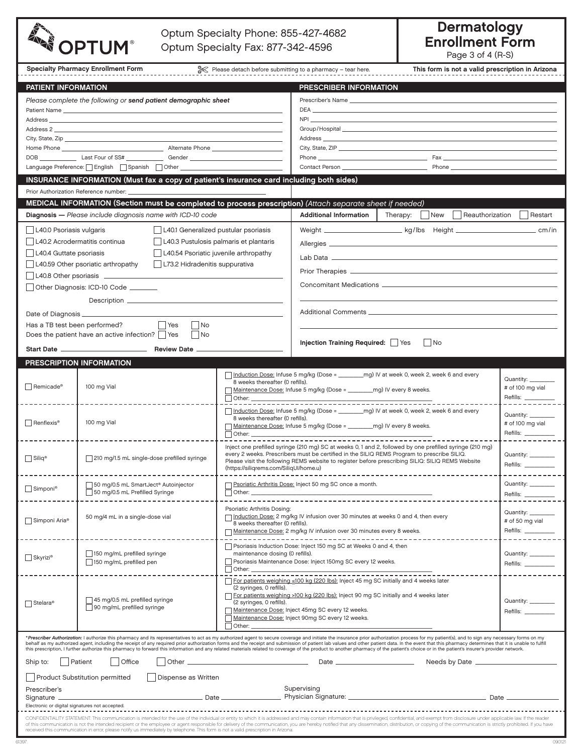|                                                                                                                                                                                                                                                                  | Optum Specialty Phone: 855-427-4682<br><b>OPTUM®</b><br>Optum Specialty Fax: 877-342-4596                                                                                                                                                                                                                                                                                                                                                                                                                                                                                                                                                                                                          |                                                                                                                     |                                                                                                                                                                                                                                                                                 |                                                                                                          | <b>Dermatology</b><br><b>Enrollment Form</b><br>Page 3 of 4 (R-S) |  |  |
|------------------------------------------------------------------------------------------------------------------------------------------------------------------------------------------------------------------------------------------------------------------|----------------------------------------------------------------------------------------------------------------------------------------------------------------------------------------------------------------------------------------------------------------------------------------------------------------------------------------------------------------------------------------------------------------------------------------------------------------------------------------------------------------------------------------------------------------------------------------------------------------------------------------------------------------------------------------------------|---------------------------------------------------------------------------------------------------------------------|---------------------------------------------------------------------------------------------------------------------------------------------------------------------------------------------------------------------------------------------------------------------------------|----------------------------------------------------------------------------------------------------------|-------------------------------------------------------------------|--|--|
|                                                                                                                                                                                                                                                                  | <b>Specialty Pharmacy Enrollment Form</b>                                                                                                                                                                                                                                                                                                                                                                                                                                                                                                                                                                                                                                                          |                                                                                                                     | Please detach before submitting to a pharmacy - tear here.                                                                                                                                                                                                                      | This form is not a valid prescription in Arizona                                                         |                                                                   |  |  |
| PATIENT INFORMATION                                                                                                                                                                                                                                              |                                                                                                                                                                                                                                                                                                                                                                                                                                                                                                                                                                                                                                                                                                    |                                                                                                                     | PRESCRIBER INFORMATION                                                                                                                                                                                                                                                          |                                                                                                          |                                                                   |  |  |
|                                                                                                                                                                                                                                                                  | Please complete the following or send patient demographic sheet                                                                                                                                                                                                                                                                                                                                                                                                                                                                                                                                                                                                                                    |                                                                                                                     |                                                                                                                                                                                                                                                                                 |                                                                                                          |                                                                   |  |  |
| Patient Name <b>Example 20</b><br>Address and the contract of the contract of the contract of the contract of the contract of the contract of the contract of the contract of the contract of the contract of the contract of the contract of the contract of th |                                                                                                                                                                                                                                                                                                                                                                                                                                                                                                                                                                                                                                                                                                    |                                                                                                                     |                                                                                                                                                                                                                                                                                 | NPI <b>NEW YORK IN THE CONTRACT CONTRACT OF A STATE</b>                                                  |                                                                   |  |  |
|                                                                                                                                                                                                                                                                  |                                                                                                                                                                                                                                                                                                                                                                                                                                                                                                                                                                                                                                                                                                    |                                                                                                                     |                                                                                                                                                                                                                                                                                 |                                                                                                          |                                                                   |  |  |
|                                                                                                                                                                                                                                                                  |                                                                                                                                                                                                                                                                                                                                                                                                                                                                                                                                                                                                                                                                                                    |                                                                                                                     |                                                                                                                                                                                                                                                                                 |                                                                                                          |                                                                   |  |  |
|                                                                                                                                                                                                                                                                  | DOB __________________Last Four of SS# _______________Gender ____________________                                                                                                                                                                                                                                                                                                                                                                                                                                                                                                                                                                                                                  |                                                                                                                     |                                                                                                                                                                                                                                                                                 | City, State, ZIP                                                                                         |                                                                   |  |  |
|                                                                                                                                                                                                                                                                  |                                                                                                                                                                                                                                                                                                                                                                                                                                                                                                                                                                                                                                                                                                    |                                                                                                                     |                                                                                                                                                                                                                                                                                 | Contact Person <b>Example 2018</b> Phone                                                                 |                                                                   |  |  |
|                                                                                                                                                                                                                                                                  | INSURANCE INFORMATION (Must fax a copy of patient's insurance card including both sides)                                                                                                                                                                                                                                                                                                                                                                                                                                                                                                                                                                                                           |                                                                                                                     |                                                                                                                                                                                                                                                                                 |                                                                                                          |                                                                   |  |  |
|                                                                                                                                                                                                                                                                  | Prior Authorization Reference number:                                                                                                                                                                                                                                                                                                                                                                                                                                                                                                                                                                                                                                                              |                                                                                                                     |                                                                                                                                                                                                                                                                                 |                                                                                                          |                                                                   |  |  |
|                                                                                                                                                                                                                                                                  | MEDICAL INFORMATION (Section must be completed to process prescription) (Attach separate sheet if needed)                                                                                                                                                                                                                                                                                                                                                                                                                                                                                                                                                                                          |                                                                                                                     |                                                                                                                                                                                                                                                                                 |                                                                                                          |                                                                   |  |  |
|                                                                                                                                                                                                                                                                  | Diagnosis - Please include diagnosis name with ICD-10 code                                                                                                                                                                                                                                                                                                                                                                                                                                                                                                                                                                                                                                         |                                                                                                                     | <b>Additional Information</b>                                                                                                                                                                                                                                                   | Therapy: $\vert$ New<br>Reauthorization                                                                  | Restart                                                           |  |  |
| L40.0 Psoriasis vulgaris                                                                                                                                                                                                                                         | L40.1 Generalized pustular psoriasis                                                                                                                                                                                                                                                                                                                                                                                                                                                                                                                                                                                                                                                               |                                                                                                                     |                                                                                                                                                                                                                                                                                 | Weight __________________________kg/lbs Height _________________________________ cm/in                   |                                                                   |  |  |
|                                                                                                                                                                                                                                                                  | L40.2 Acrodermatitis continua<br>L40.3 Pustulosis palmaris et plantaris                                                                                                                                                                                                                                                                                                                                                                                                                                                                                                                                                                                                                            |                                                                                                                     |                                                                                                                                                                                                                                                                                 |                                                                                                          |                                                                   |  |  |
| L40.4 Guttate psoriasis                                                                                                                                                                                                                                          | L40.54 Psoriatic juvenile arthropathy                                                                                                                                                                                                                                                                                                                                                                                                                                                                                                                                                                                                                                                              |                                                                                                                     |                                                                                                                                                                                                                                                                                 |                                                                                                          |                                                                   |  |  |
|                                                                                                                                                                                                                                                                  | L40.59 Other psoriatic arthropathy<br>  L73.2 Hidradenitis suppurativa                                                                                                                                                                                                                                                                                                                                                                                                                                                                                                                                                                                                                             |                                                                                                                     |                                                                                                                                                                                                                                                                                 |                                                                                                          |                                                                   |  |  |
|                                                                                                                                                                                                                                                                  | L40.8 Other psoriasis ______________<br>Other Diagnosis: ICD-10 Code _______                                                                                                                                                                                                                                                                                                                                                                                                                                                                                                                                                                                                                       |                                                                                                                     |                                                                                                                                                                                                                                                                                 |                                                                                                          |                                                                   |  |  |
|                                                                                                                                                                                                                                                                  |                                                                                                                                                                                                                                                                                                                                                                                                                                                                                                                                                                                                                                                                                                    |                                                                                                                     |                                                                                                                                                                                                                                                                                 |                                                                                                          |                                                                   |  |  |
| Date of Diagnosis ______________                                                                                                                                                                                                                                 |                                                                                                                                                                                                                                                                                                                                                                                                                                                                                                                                                                                                                                                                                                    |                                                                                                                     |                                                                                                                                                                                                                                                                                 |                                                                                                          |                                                                   |  |  |
|                                                                                                                                                                                                                                                                  | Has a TB test been performed? TYes<br>$\vert$ No                                                                                                                                                                                                                                                                                                                                                                                                                                                                                                                                                                                                                                                   |                                                                                                                     |                                                                                                                                                                                                                                                                                 |                                                                                                          |                                                                   |  |  |
|                                                                                                                                                                                                                                                                  | Does the patient have an active infection? Yes<br>$\vert$ No                                                                                                                                                                                                                                                                                                                                                                                                                                                                                                                                                                                                                                       |                                                                                                                     |                                                                                                                                                                                                                                                                                 |                                                                                                          |                                                                   |  |  |
|                                                                                                                                                                                                                                                                  |                                                                                                                                                                                                                                                                                                                                                                                                                                                                                                                                                                                                                                                                                                    |                                                                                                                     | Injection Training Required:   Yes<br>$\vert$ No                                                                                                                                                                                                                                |                                                                                                          |                                                                   |  |  |
|                                                                                                                                                                                                                                                                  | PRESCRIPTION INFORMATION                                                                                                                                                                                                                                                                                                                                                                                                                                                                                                                                                                                                                                                                           |                                                                                                                     |                                                                                                                                                                                                                                                                                 |                                                                                                          |                                                                   |  |  |
|                                                                                                                                                                                                                                                                  |                                                                                                                                                                                                                                                                                                                                                                                                                                                                                                                                                                                                                                                                                                    | 8 weeks thereafter (0 refills).                                                                                     |                                                                                                                                                                                                                                                                                 | Induction Dose: Infuse 5 mg/kg (Dose = ________mg) IV at week 0, week 2, week 6 and every                | Quantity: _____                                                   |  |  |
| $\Box$ Remicade®                                                                                                                                                                                                                                                 | 100 mg Vial                                                                                                                                                                                                                                                                                                                                                                                                                                                                                                                                                                                                                                                                                        |                                                                                                                     | # of 100 mg vial<br>Maintenance Dose: Infuse 5 mg/kg (Dose = ________ mg) IV every 8 weeks.                                                                                                                                                                                     |                                                                                                          |                                                                   |  |  |
|                                                                                                                                                                                                                                                                  |                                                                                                                                                                                                                                                                                                                                                                                                                                                                                                                                                                                                                                                                                                    |                                                                                                                     |                                                                                                                                                                                                                                                                                 |                                                                                                          |                                                                   |  |  |
|                                                                                                                                                                                                                                                                  |                                                                                                                                                                                                                                                                                                                                                                                                                                                                                                                                                                                                                                                                                                    | 8 weeks thereafter (0 refills).                                                                                     |                                                                                                                                                                                                                                                                                 | □ Induction Dose: Infuse 5 mg/kg (Dose = __________mg) IV at week 0, week 2, week 6 and every            | Quantity: ___                                                     |  |  |
| $\Box$ Renflexis <sup>®</sup>                                                                                                                                                                                                                                    | 100 mg Vial                                                                                                                                                                                                                                                                                                                                                                                                                                                                                                                                                                                                                                                                                        | $\vert$ Other:                                                                                                      | Maintenance Dose: Infuse 5 mg/kg (Dose = ________ mg) IV every 8 weeks.                                                                                                                                                                                                         | # of 100 mg vial<br>Refills: ___                                                                         |                                                                   |  |  |
|                                                                                                                                                                                                                                                                  |                                                                                                                                                                                                                                                                                                                                                                                                                                                                                                                                                                                                                                                                                                    |                                                                                                                     |                                                                                                                                                                                                                                                                                 | Inject one prefilled syringe (210 mg) SC at weeks 0, 1 and 2, followed by one prefilled syringe (210 mg) |                                                                   |  |  |
| $\Box$ Siliq®<br>210 mg/1.5 mL single-dose prefilled syringe                                                                                                                                                                                                     |                                                                                                                                                                                                                                                                                                                                                                                                                                                                                                                                                                                                                                                                                                    |                                                                                                                     | every 2 weeks. Prescribers must be certified in the SILIQ REMS Program to prescribe SILIQ.<br>Please visit the following REMS website to register before prescribing SILIQ: SILIQ REMS Website                                                                                  |                                                                                                          | Quantity: ______                                                  |  |  |
|                                                                                                                                                                                                                                                                  |                                                                                                                                                                                                                                                                                                                                                                                                                                                                                                                                                                                                                                                                                                    | (https://siligrems.com/SiligUl/home.u)                                                                              |                                                                                                                                                                                                                                                                                 |                                                                                                          | Refills: _______                                                  |  |  |
|                                                                                                                                                                                                                                                                  | 50 mg/0.5 mL SmartJect® Autoinjector                                                                                                                                                                                                                                                                                                                                                                                                                                                                                                                                                                                                                                                               |                                                                                                                     | Psoriatic Arthritis Dose: Inject 50 mg SC once a month.                                                                                                                                                                                                                         | Quantity: ________                                                                                       |                                                                   |  |  |
| Simponi <sup>®</sup>                                                                                                                                                                                                                                             | 50 mg/0.5 mL Prefilled Syringe                                                                                                                                                                                                                                                                                                                                                                                                                                                                                                                                                                                                                                                                     |                                                                                                                     | Other: the contract of the contract of the contract of the contract of the contract of the contract of the contract of the contract of the contract of the contract of the contract of the contract of the contract of the con<br><u> 1999 - Johann Barn, mars eta bainar e</u> |                                                                                                          | Refills: _________                                                |  |  |
|                                                                                                                                                                                                                                                                  |                                                                                                                                                                                                                                                                                                                                                                                                                                                                                                                                                                                                                                                                                                    | Psoriatic Arthritis Dosing:                                                                                         |                                                                                                                                                                                                                                                                                 | Quantity: ________                                                                                       |                                                                   |  |  |
| Simponi Aria <sup>®</sup>                                                                                                                                                                                                                                        | 50 mg/4 mL in a single-dose vial                                                                                                                                                                                                                                                                                                                                                                                                                                                                                                                                                                                                                                                                   | Induction Dose: 2 mg/kg IV infusion over 30 minutes at weeks 0 and 4, then every<br>8 weeks thereafter (0 refills). |                                                                                                                                                                                                                                                                                 | # of 50 mg vial                                                                                          |                                                                   |  |  |
|                                                                                                                                                                                                                                                                  | -------------                                                                                                                                                                                                                                                                                                                                                                                                                                                                                                                                                                                                                                                                                      | Maintenance Dose: 2 mg/kg IV infusion over 30 minutes every 8 weeks.                                                |                                                                                                                                                                                                                                                                                 |                                                                                                          | Refills: ________                                                 |  |  |
|                                                                                                                                                                                                                                                                  | 150 mg/mL prefilled syringe                                                                                                                                                                                                                                                                                                                                                                                                                                                                                                                                                                                                                                                                        |                                                                                                                     | Psoriasis Induction Dose: Inject 150 mg SC at Weeks 0 and 4, then                                                                                                                                                                                                               |                                                                                                          | Quantity: ________                                                |  |  |
| Skyrizi®                                                                                                                                                                                                                                                         | 150 mg/mL prefilled pen                                                                                                                                                                                                                                                                                                                                                                                                                                                                                                                                                                                                                                                                            | maintenance dosing (0 refills).<br>Psoriasis Maintenance Dose: Inject 150mg SC every 12 weeks.                      |                                                                                                                                                                                                                                                                                 |                                                                                                          | Refills: _________                                                |  |  |
|                                                                                                                                                                                                                                                                  |                                                                                                                                                                                                                                                                                                                                                                                                                                                                                                                                                                                                                                                                                                    |                                                                                                                     |                                                                                                                                                                                                                                                                                 |                                                                                                          |                                                                   |  |  |
|                                                                                                                                                                                                                                                                  |                                                                                                                                                                                                                                                                                                                                                                                                                                                                                                                                                                                                                                                                                                    | For patients weighing <100 kg (220 lbs): Inject 45 mg SC initially and 4 weeks later<br>(2 syringes, 0 refills).    |                                                                                                                                                                                                                                                                                 |                                                                                                          |                                                                   |  |  |
| $\Box$ Stelara®                                                                                                                                                                                                                                                  | 45 mg/0.5 mL prefilled syringe                                                                                                                                                                                                                                                                                                                                                                                                                                                                                                                                                                                                                                                                     | For patients weighing >100 kg (220 lbs): Inject 90 mg SC initially and 4 weeks later<br>(2 syringes, 0 refills).    |                                                                                                                                                                                                                                                                                 |                                                                                                          | Quantity: ____                                                    |  |  |
|                                                                                                                                                                                                                                                                  | $\Box$ 90 mg/mL prefilled syringe                                                                                                                                                                                                                                                                                                                                                                                                                                                                                                                                                                                                                                                                  | Maintenance Dose: Inject 45mg SC every 12 weeks.<br>Maintenance Dose: Inject 90mg SC every 12 weeks.                |                                                                                                                                                                                                                                                                                 |                                                                                                          | Refills: ____                                                     |  |  |
|                                                                                                                                                                                                                                                                  |                                                                                                                                                                                                                                                                                                                                                                                                                                                                                                                                                                                                                                                                                                    | Other:                                                                                                              |                                                                                                                                                                                                                                                                                 |                                                                                                          |                                                                   |  |  |
|                                                                                                                                                                                                                                                                  | *Prescriber Authorization: I authorize this pharmacy and its representatives to act as my authorized agent to secure coverage and initiate the insurance prior authorization process for my patient(s), and to sign any necess<br>behalf as my authorized agent, including the receipt of any required prior authorization forms and the receipt and submission of patient lab values and other patient data. In the event that this pharmacy determines that it<br>this prescription, I further authorize this pharmacy to forward this information and any related materials related to coverage of the product to another pharmacy of the patient's choice or in the patient's insurer's provid |                                                                                                                     |                                                                                                                                                                                                                                                                                 |                                                                                                          |                                                                   |  |  |
| Ship to:                                                                                                                                                                                                                                                         | Patient<br>  Office                                                                                                                                                                                                                                                                                                                                                                                                                                                                                                                                                                                                                                                                                |                                                                                                                     |                                                                                                                                                                                                                                                                                 |                                                                                                          |                                                                   |  |  |
|                                                                                                                                                                                                                                                                  | <b>Product Substitution permitted</b><br>Dispense as Written                                                                                                                                                                                                                                                                                                                                                                                                                                                                                                                                                                                                                                       |                                                                                                                     |                                                                                                                                                                                                                                                                                 |                                                                                                          |                                                                   |  |  |
| Prescriber's                                                                                                                                                                                                                                                     |                                                                                                                                                                                                                                                                                                                                                                                                                                                                                                                                                                                                                                                                                                    |                                                                                                                     | Supervising                                                                                                                                                                                                                                                                     |                                                                                                          |                                                                   |  |  |
| Signature _<br>Electronic or digital signatures not accepted.                                                                                                                                                                                                    |                                                                                                                                                                                                                                                                                                                                                                                                                                                                                                                                                                                                                                                                                                    |                                                                                                                     |                                                                                                                                                                                                                                                                                 |                                                                                                          |                                                                   |  |  |
|                                                                                                                                                                                                                                                                  | CONFIDENTIALITY STATEMENT: This communication is intended for the use of the individual or entity to which it is addressed and may contain information that is privileged, confidential, and exempt from disclosure under appl                                                                                                                                                                                                                                                                                                                                                                                                                                                                     |                                                                                                                     |                                                                                                                                                                                                                                                                                 |                                                                                                          |                                                                   |  |  |
|                                                                                                                                                                                                                                                                  | of this communication is not the intended recipient or the employee or agent responsible for delivery of the communication, you are hereby notified that any dissemination, distribution, or copying of the communication is s<br>received this communication in error, please notify us immediately by telephone. This form is not a valid prescription in Arizona.                                                                                                                                                                                                                                                                                                                               |                                                                                                                     |                                                                                                                                                                                                                                                                                 |                                                                                                          |                                                                   |  |  |